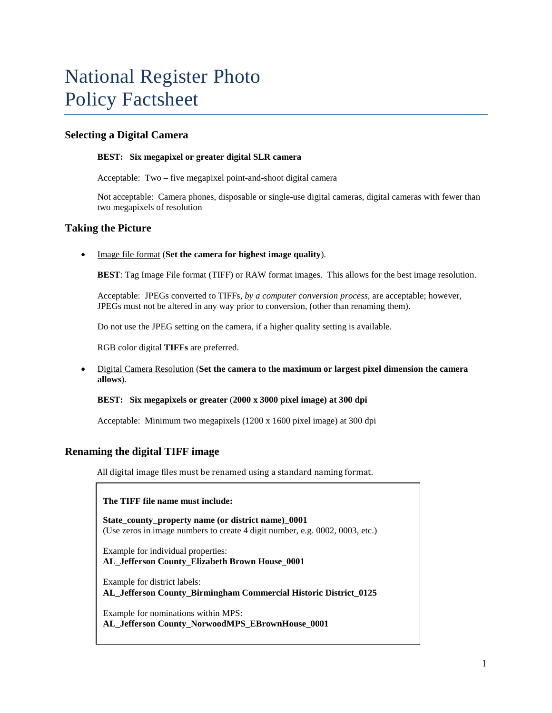# National Register Photo Policy Factsheet

## **Selecting a Digital Camera**

#### **BEST: Six megapixel or greater digital SLR camera**

Acceptable: Two – five megapixel point-and-shoot digital camera

Not acceptable: Camera phones, disposable or single-use digital cameras, digital cameras with fewer than two megapixels of resolution

## **Taking the Picture**

• Image file format (**Set the camera for highest image quality**).

**BEST**: Tag Image File format (TIFF) or RAW format images. This allows for the best image resolution.

Acceptable: JPEGs converted to TIFFs, *by a computer conversion process,* are acceptable; however, JPEGs must not be altered in any way prior to conversion, (other than renaming them).

Do not use the JPEG setting on the camera, if a higher quality setting is available.

RGB color digital **TIFFs** are preferred.

• Digital Camera Resolution (**Set the camera to the maximum or largest pixel dimension the camera allows**).

#### **BEST: Six megapixels or greater** (**2000 x 3000 pixel image) at 300 dpi**

Acceptable:Minimum two megapixels (1200 x 1600 pixel image) at 300 dpi

## **Renaming the digital TIFF image**

All digital image files must be renamed using a standard naming format.

#### **The TIFF file name must include:**

State\_county\_property name (or district name)\_0001 (Use zeros in image numbers to create 4 digit number, e.g. 0002, 0003, etc.)

Example for individual properties: **AL\_Jefferson County\_Elizabeth Brown House\_0001**

Example for district labels: **AL\_Jefferson County\_Birmingham Commercial Historic District\_0125**

Example for nominations within MPS: **AL\_Jefferson County\_NorwoodMPS\_EBrownHouse\_0001**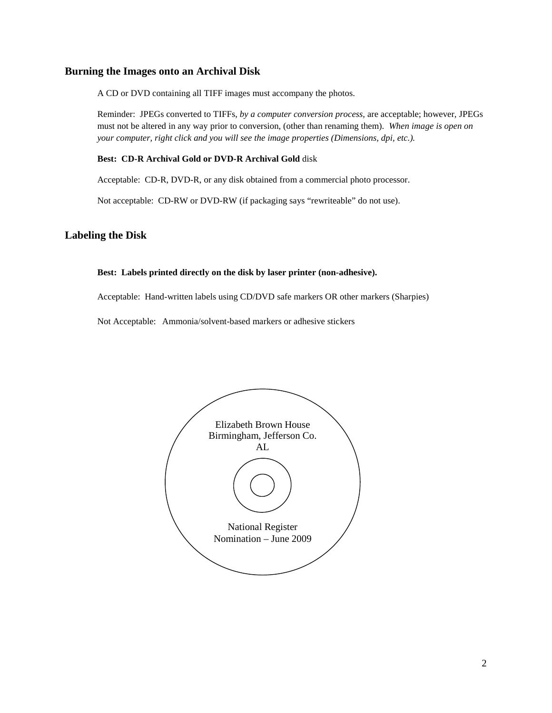## **Burning the Images onto an Archival Disk**

A CD or DVD containing all TIFF images must accompany the photos.

Reminder: JPEGs converted to TIFFs, *by a computer conversion process,* are acceptable; however, JPEGs must not be altered in any way prior to conversion, (other than renaming them). *When image is open on your computer, right click and you will see the image properties (Dimensions, dpi, etc.).*

#### **Best: CD-R Archival Gold or DVD-R Archival Gold** disk

Acceptable: CD-R, DVD-R, or any disk obtained from a commercial photo processor.

Not acceptable: CD-RW or DVD-RW (if packaging says "rewriteable" do not use).

#### **Labeling the Disk**

#### **Best: Labels printed directly on the disk by laser printer (non-adhesive).**

Acceptable: Hand-written labels using CD/DVD safe markers OR other markers (Sharpies)

Not Acceptable: Ammonia/solvent-based markers or adhesive stickers

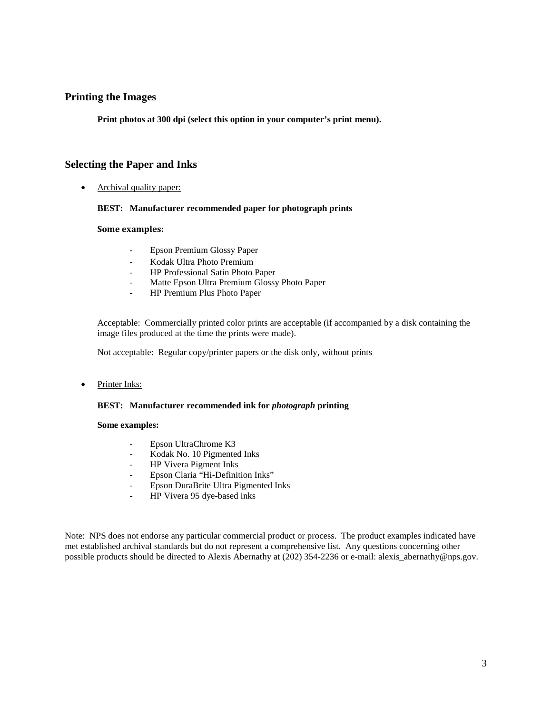## **Printing the Images**

**Print photos at 300 dpi (select this option in your computer's print menu).**

## **Selecting the Paper and Inks**

• Archival quality paper:

#### **BEST: Manufacturer recommended paper for photograph prints**

#### **Some examples:**

- Epson Premium Glossy Paper
- Kodak Ultra Photo Premium
- HP Professional Satin Photo Paper
- Matte Epson Ultra Premium Glossy Photo Paper
- HP Premium Plus Photo Paper

Acceptable: Commercially printed color prints are acceptable (if accompanied by a disk containing the image files produced at the time the prints were made).

Not acceptable: Regular copy/printer papers or the disk only, without prints

Printer Inks:

#### **BEST: Manufacturer recommended ink for** *photograph* **printing**

#### **Some examples:**

- Epson UltraChrome K3
- Kodak No. 10 Pigmented Inks
- HP Vivera Pigment Inks
- Epson Claria "Hi-Definition Inks"
- Epson DuraBrite Ultra Pigmented Inks
- HP Vivera 95 dye-based inks

Note: NPS does not endorse any particular commercial product or process. The product examples indicated have met established archival standards but do not represent a comprehensive list. Any questions concerning other possible products should be directed to Alexis Abernathy at (202) 354-2236 or e-mail: alexis\_abernathy@nps.gov.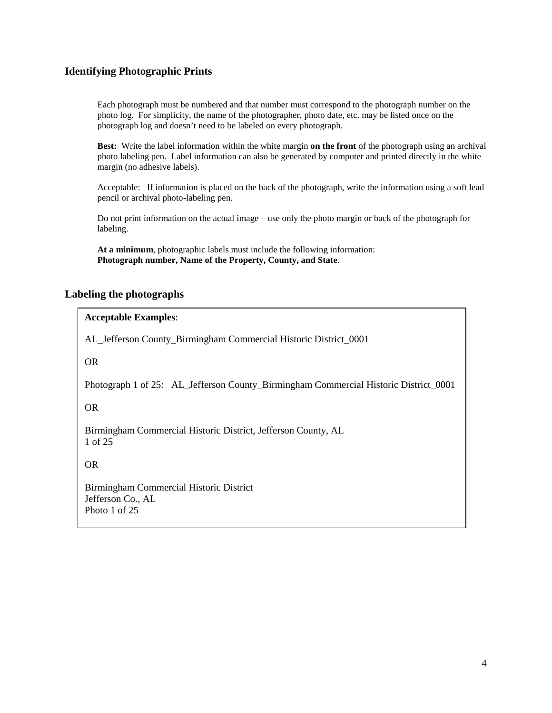## **Identifying Photographic Prints**

Each photograph must be numbered and that number must correspond to the photograph number on the photo log. For simplicity, the name of the photographer, photo date, etc. may be listed once on the photograph log and doesn't need to be labeled on every photograph.

**Best:** Write the label information within the white margin **on the front** of the photograph using an archival photo labeling pen. Label information can also be generated by computer and printed directly in the white margin (no adhesive labels).

Acceptable: If information is placed on the back of the photograph, write the information using a soft lead pencil or archival photo-labeling pen.

Do not print information on the actual image – use only the photo margin or back of the photograph for labeling.

**At a minimum**, photographic labels must include the following information: **Photograph number, Name of the Property, County, and State**.

## **Labeling the photographs**

## **Acceptable Examples**:

AL\_Jefferson County\_Birmingham Commercial Historic District\_0001

OR

Photograph 1 of 25: AL\_Jefferson County\_Birmingham Commercial Historic District\_0001

OR

Birmingham Commercial Historic District, Jefferson County, AL 1 of 25

OR

Birmingham Commercial Historic District Jefferson Co., AL Photo 1 of 25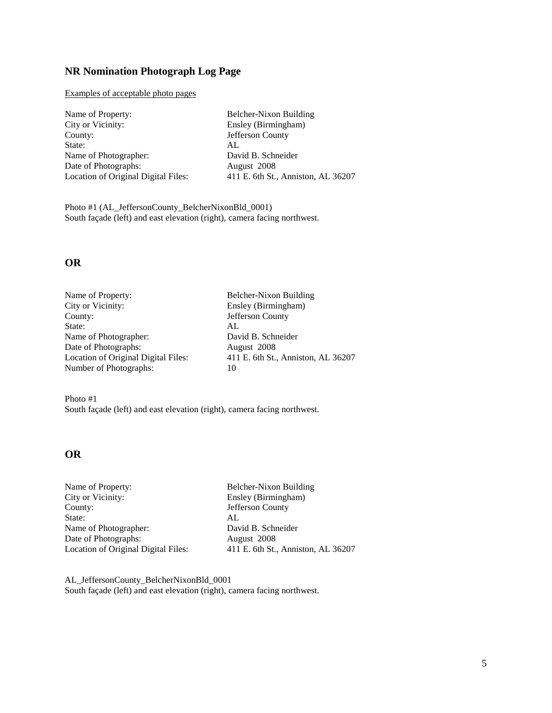# **NR Nomination Photograph Log Page**

Examples of acceptable photo pages

| Name of Property:                   | Belcher-Nixon Building             |
|-------------------------------------|------------------------------------|
| City or Vicinity:                   | Ensley (Birmingham)                |
| County:                             | Jefferson County                   |
| State:                              | AL.                                |
| Name of Photographer:               | David B. Schneider                 |
| Date of Photographs:                | August 2008                        |
| Location of Original Digital Files: | 411 E. 6th St., Anniston, AL 36207 |
|                                     |                                    |

Photo #1 (AL\_JeffersonCounty\_BelcherNixonBld\_0001) South façade (left) and east elevation (right), camera facing northwest.

## **OR**

| Name of Property:                   | Belcher-Nixon Building             |
|-------------------------------------|------------------------------------|
| City or Vicinity:                   | Ensley (Birmingham)                |
| County:                             | Jefferson County                   |
| State:                              | AL                                 |
| Name of Photographer:               | David B. Schneider                 |
| Date of Photographs:                | August 2008                        |
| Location of Original Digital Files: | 411 E. 6th St., Anniston, AL 36207 |
| Number of Photographs:              | 10                                 |
|                                     |                                    |

Photo #1 South façade (left) and east elevation (right), camera facing northwest.

# **OR**

| Name of Property:                   | Belcher-Nixon Building             |
|-------------------------------------|------------------------------------|
| City or Vicinity:                   | Ensley (Birmingham)                |
| County:                             | Jefferson County                   |
| State:                              | AL.                                |
| Name of Photographer:               | David B. Schneider                 |
| Date of Photographs:                | August 2008                        |
| Location of Original Digital Files: | 411 E. 6th St., Anniston, AL 36207 |

AL\_JeffersonCounty\_BelcherNixonBld\_0001 South façade (left) and east elevation (right), camera facing northwest.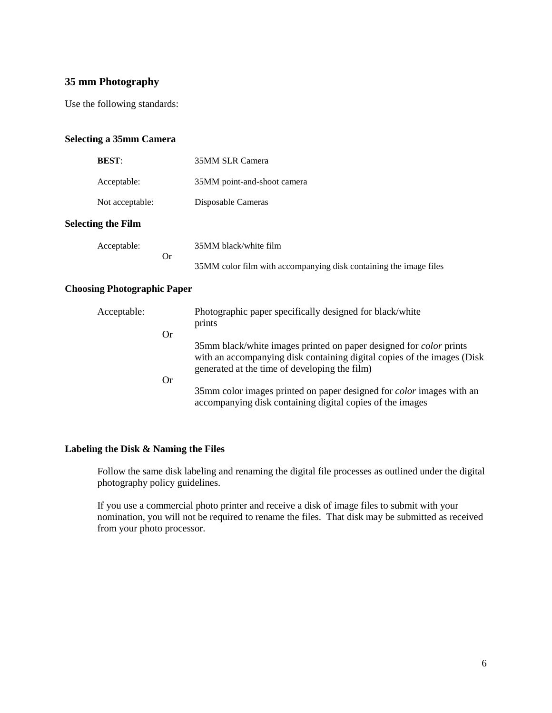# **35 mm Photography**

Use the following standards:

## **Selecting a 35mm Camera**

| <b>BEST:</b>              |                       | 35MM SLR Camera                                                   |
|---------------------------|-----------------------|-------------------------------------------------------------------|
| Acceptable:               |                       | 35MM point-and-shoot camera                                       |
| Not acceptable:           |                       | Disposable Cameras                                                |
| <b>Selecting the Film</b> |                       |                                                                   |
| Acceptable:               | 35MM black/white film |                                                                   |
|                           | <b>Or</b>             | 35MM color film with accompanying disk containing the image files |

#### **Choosing Photographic Paper**

| Acceptable: |    | Photographic paper specifically designed for black/white<br>prints                                                                                                                                     |
|-------------|----|--------------------------------------------------------------------------------------------------------------------------------------------------------------------------------------------------------|
| <b>Or</b>   |    |                                                                                                                                                                                                        |
|             |    | 35mm black/white images printed on paper designed for <i>color</i> prints<br>with an accompanying disk containing digital copies of the images (Disk)<br>generated at the time of developing the film) |
|             | Or |                                                                                                                                                                                                        |
|             |    | 35mm color images printed on paper designed for <i>color</i> images with an<br>accompanying disk containing digital copies of the images                                                               |

## **Labeling the Disk & Naming the Files**

Follow the same disk labeling and renaming the digital file processes as outlined under the digital photography policy guidelines.

If you use a commercial photo printer and receive a disk of image files to submit with your nomination, you will not be required to rename the files. That disk may be submitted as received from your photo processor.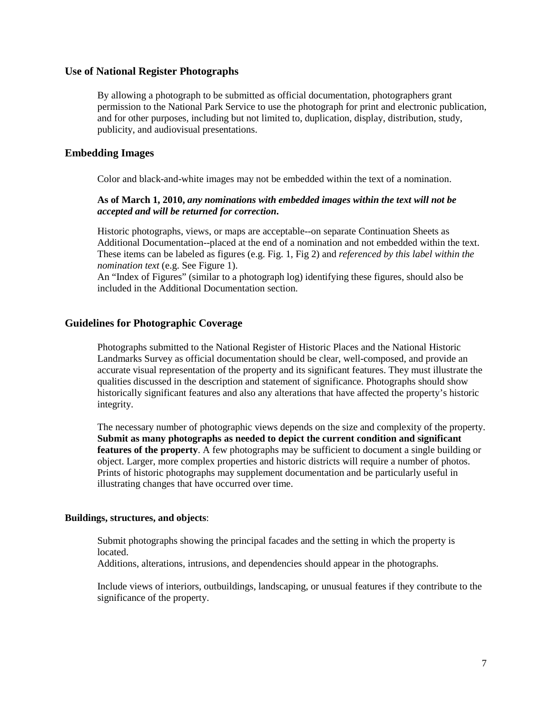#### **Use of National Register Photographs**

By allowing a photograph to be submitted as official documentation, photographers grant permission to the National Park Service to use the photograph for print and electronic publication, and for other purposes, including but not limited to, duplication, display, distribution, study, publicity, and audiovisual presentations.

## **Embedding Images**

Color and black-and-white images may not be embedded within the text of a nomination.

#### **As of March 1, 2010,** *any nominations with embedded images within the text will not be accepted and will be returned for correction***.**

Historic photographs, views, or maps are acceptable--on separate Continuation Sheets as Additional Documentation--placed at the end of a nomination and not embedded within the text. These items can be labeled as figures (e.g. Fig. 1, Fig 2) and *referenced by this label within the nomination text* (e.g. See Figure 1).

An "Index of Figures" (similar to a photograph log) identifying these figures, should also be included in the Additional Documentation section.

## **Guidelines for Photographic Coverage**

Photographs submitted to the National Register of Historic Places and the National Historic Landmarks Survey as official documentation should be clear, well-composed, and provide an accurate visual representation of the property and its significant features. They must illustrate the qualities discussed in the description and statement of significance. Photographs should show historically significant features and also any alterations that have affected the property's historic integrity.

The necessary number of photographic views depends on the size and complexity of the property. **Submit as many photographs as needed to depict the current condition and significant features of the property**. A few photographs may be sufficient to document a single building or object. Larger, more complex properties and historic districts will require a number of photos. Prints of historic photographs may supplement documentation and be particularly useful in illustrating changes that have occurred over time.

#### **Buildings, structures, and objects**:

Submit photographs showing the principal facades and the setting in which the property is located.

Additions, alterations, intrusions, and dependencies should appear in the photographs.

Include views of interiors, outbuildings, landscaping, or unusual features if they contribute to the significance of the property.